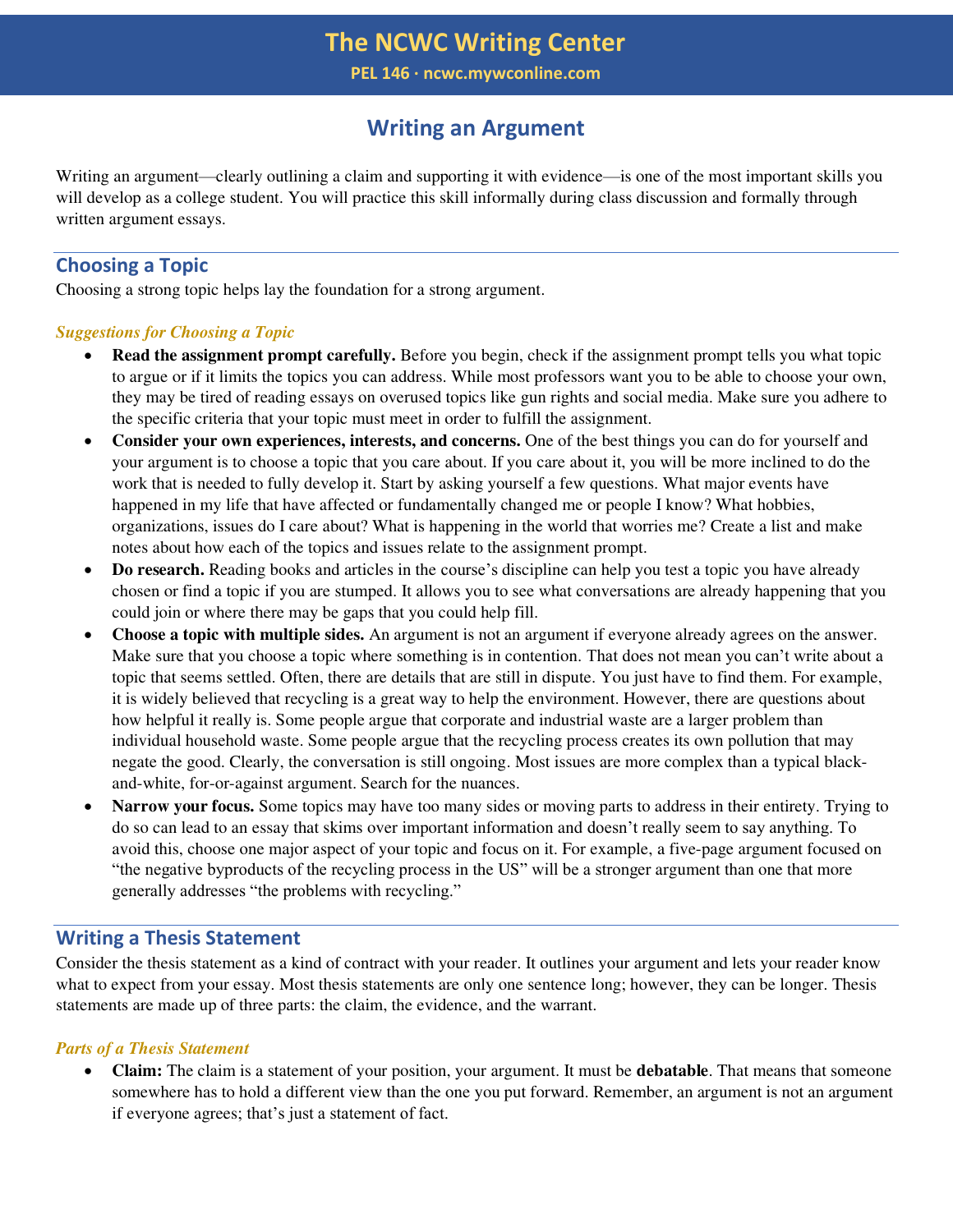**PEL 146 ∙ ncwc.mywconline.com**

# **Writing an Argument**

Writing an argument—clearly outlining a claim and supporting it with evidence—is one of the most important skills you will develop as a college student. You will practice this skill informally during class discussion and formally through written argument essays.

## **Choosing a Topic**

Choosing a strong topic helps lay the foundation for a strong argument.

## *Suggestions for Choosing a Topic*

- **Read the assignment prompt carefully.** Before you begin, check if the assignment prompt tells you what topic to argue or if it limits the topics you can address. While most professors want you to be able to choose your own, they may be tired of reading essays on overused topics like gun rights and social media. Make sure you adhere to the specific criteria that your topic must meet in order to fulfill the assignment.
- **Consider your own experiences, interests, and concerns.** One of the best things you can do for yourself and your argument is to choose a topic that you care about. If you care about it, you will be more inclined to do the work that is needed to fully develop it. Start by asking yourself a few questions. What major events have happened in my life that have affected or fundamentally changed me or people I know? What hobbies, organizations, issues do I care about? What is happening in the world that worries me? Create a list and make notes about how each of the topics and issues relate to the assignment prompt.
- **Do research.** Reading books and articles in the course's discipline can help you test a topic you have already chosen or find a topic if you are stumped. It allows you to see what conversations are already happening that you could join or where there may be gaps that you could help fill.
- **Choose a topic with multiple sides.** An argument is not an argument if everyone already agrees on the answer. Make sure that you choose a topic where something is in contention. That does not mean you can't write about a topic that seems settled. Often, there are details that are still in dispute. You just have to find them. For example, it is widely believed that recycling is a great way to help the environment. However, there are questions about how helpful it really is. Some people argue that corporate and industrial waste are a larger problem than individual household waste. Some people argue that the recycling process creates its own pollution that may negate the good. Clearly, the conversation is still ongoing. Most issues are more complex than a typical blackand-white, for-or-against argument. Search for the nuances.
- **Narrow your focus.** Some topics may have too many sides or moving parts to address in their entirety. Trying to do so can lead to an essay that skims over important information and doesn't really seem to say anything. To avoid this, choose one major aspect of your topic and focus on it. For example, a five-page argument focused on "the negative byproducts of the recycling process in the US" will be a stronger argument than one that more generally addresses "the problems with recycling."

## **Writing a Thesis Statement**

Consider the thesis statement as a kind of contract with your reader. It outlines your argument and lets your reader know what to expect from your essay. Most thesis statements are only one sentence long; however, they can be longer. Thesis statements are made up of three parts: the claim, the evidence, and the warrant.

## *Parts of a Thesis Statement*

• **Claim:** The claim is a statement of your position, your argument. It must be **debatable**. That means that someone somewhere has to hold a different view than the one you put forward. Remember, an argument is not an argument if everyone agrees; that's just a statement of fact.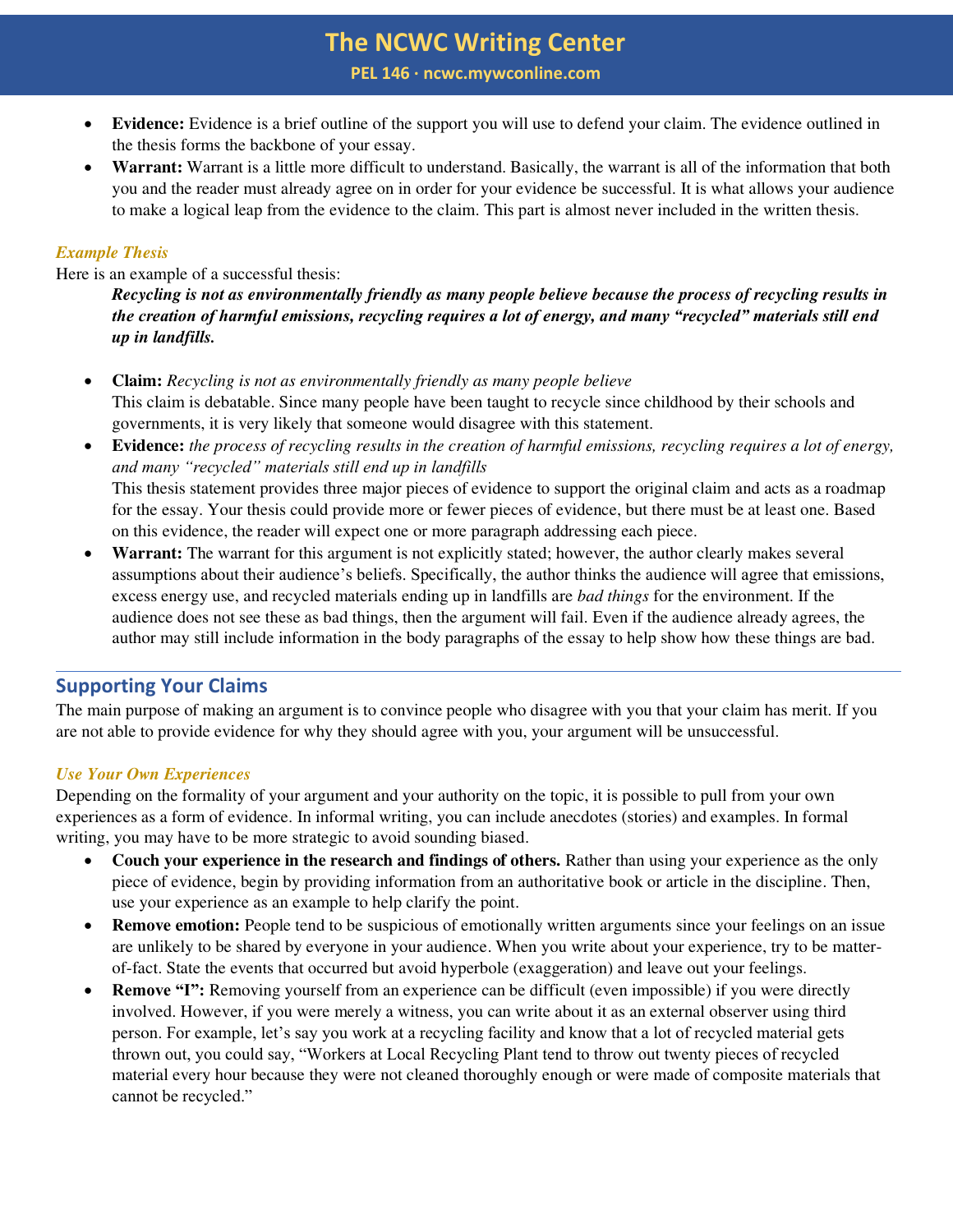# **The NCWC Writing Center**

**PEL 146 ∙ ncwc.mywconline.com**

- **Evidence:** Evidence is a brief outline of the support you will use to defend your claim. The evidence outlined in the thesis forms the backbone of your essay.
- **Warrant:** Warrant is a little more difficult to understand. Basically, the warrant is all of the information that both you and the reader must already agree on in order for your evidence be successful. It is what allows your audience to make a logical leap from the evidence to the claim. This part is almost never included in the written thesis.

## *Example Thesis*

Here is an example of a successful thesis:

*Recycling is not as environmentally friendly as many people believe because the process of recycling results in the creation of harmful emissions, recycling requires a lot of energy, and many "recycled" materials still end up in landfills.* 

- **Claim:** *Recycling is not as environmentally friendly as many people believe*  This claim is debatable. Since many people have been taught to recycle since childhood by their schools and governments, it is very likely that someone would disagree with this statement.
- **Evidence:** *the process of recycling results in the creation of harmful emissions, recycling requires a lot of energy, and many "recycled" materials still end up in landfills* This thesis statement provides three major pieces of evidence to support the original claim and acts as a roadmap for the essay. Your thesis could provide more or fewer pieces of evidence, but there must be at least one. Based on this evidence, the reader will expect one or more paragraph addressing each piece.
- **Warrant:** The warrant for this argument is not explicitly stated; however, the author clearly makes several assumptions about their audience's beliefs. Specifically, the author thinks the audience will agree that emissions, excess energy use, and recycled materials ending up in landfills are *bad things* for the environment. If the audience does not see these as bad things, then the argument will fail. Even if the audience already agrees, the author may still include information in the body paragraphs of the essay to help show how these things are bad.

## **Supporting Your Claims**

The main purpose of making an argument is to convince people who disagree with you that your claim has merit. If you are not able to provide evidence for why they should agree with you, your argument will be unsuccessful.

#### *Use Your Own Experiences*

Depending on the formality of your argument and your authority on the topic, it is possible to pull from your own experiences as a form of evidence. In informal writing, you can include anecdotes (stories) and examples. In formal writing, you may have to be more strategic to avoid sounding biased.

- **Couch your experience in the research and findings of others.** Rather than using your experience as the only piece of evidence, begin by providing information from an authoritative book or article in the discipline. Then, use your experience as an example to help clarify the point.
- **Remove emotion:** People tend to be suspicious of emotionally written arguments since your feelings on an issue are unlikely to be shared by everyone in your audience. When you write about your experience, try to be matterof-fact. State the events that occurred but avoid hyperbole (exaggeration) and leave out your feelings.
- **Remove "I":** Removing yourself from an experience can be difficult (even impossible) if you were directly involved. However, if you were merely a witness, you can write about it as an external observer using third person. For example, let's say you work at a recycling facility and know that a lot of recycled material gets thrown out, you could say, "Workers at Local Recycling Plant tend to throw out twenty pieces of recycled material every hour because they were not cleaned thoroughly enough or were made of composite materials that cannot be recycled."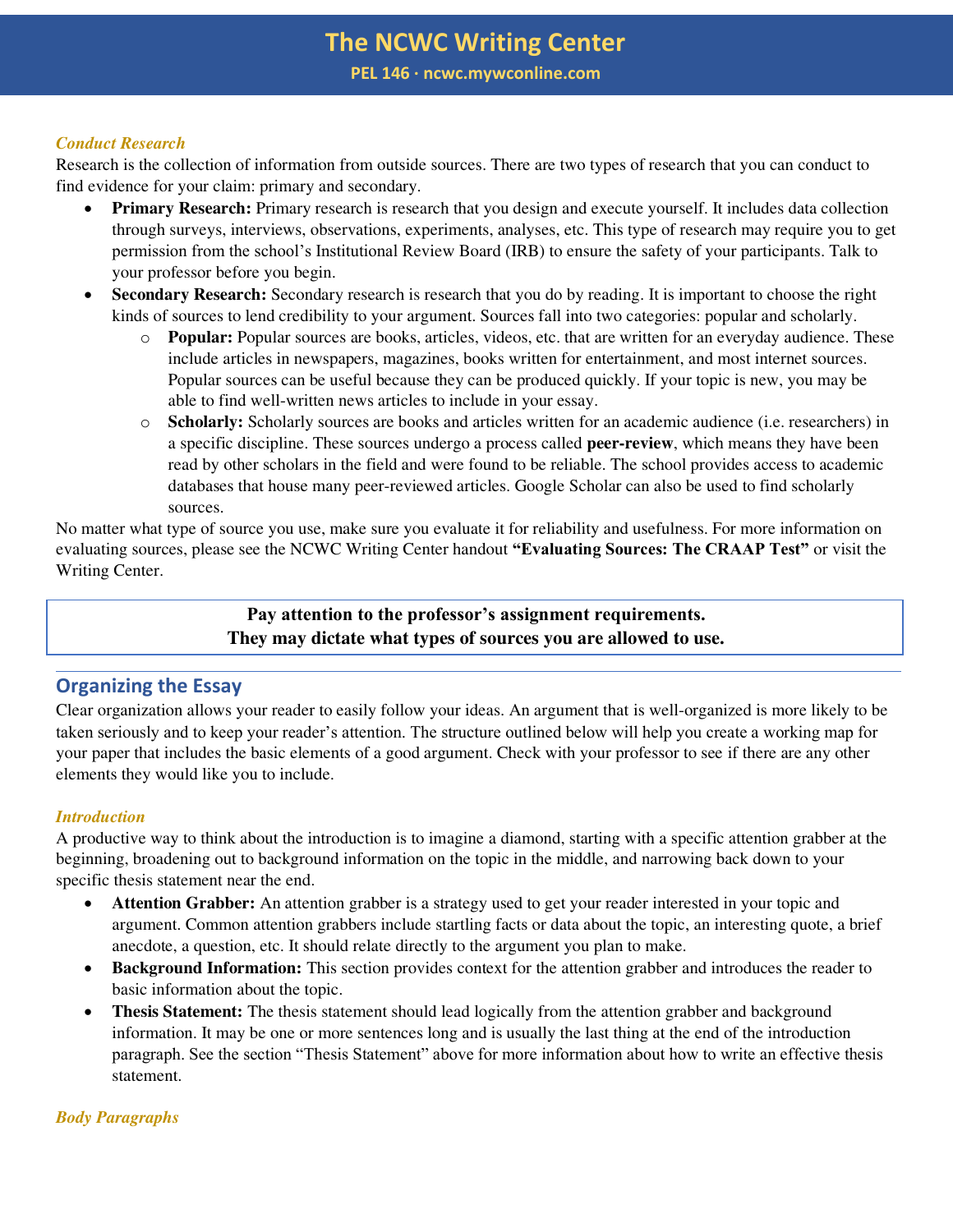# **The NCWC Writing Center PEL 146 ∙ ncwc.mywconline.com**

#### *Conduct Research*

Research is the collection of information from outside sources. There are two types of research that you can conduct to find evidence for your claim: primary and secondary.

- **Primary Research:** Primary research is research that you design and execute yourself. It includes data collection through surveys, interviews, observations, experiments, analyses, etc. This type of research may require you to get permission from the school's Institutional Review Board (IRB) to ensure the safety of your participants. Talk to your professor before you begin.
- **Secondary Research:** Secondary research is research that you do by reading. It is important to choose the right kinds of sources to lend credibility to your argument. Sources fall into two categories: popular and scholarly.
	- o **Popular:** Popular sources are books, articles, videos, etc. that are written for an everyday audience. These include articles in newspapers, magazines, books written for entertainment, and most internet sources. Popular sources can be useful because they can be produced quickly. If your topic is new, you may be able to find well-written news articles to include in your essay.
	- o **Scholarly:** Scholarly sources are books and articles written for an academic audience (i.e. researchers) in a specific discipline. These sources undergo a process called **peer-review**, which means they have been read by other scholars in the field and were found to be reliable. The school provides access to academic databases that house many peer-reviewed articles. Google Scholar can also be used to find scholarly sources.

No matter what type of source you use, make sure you evaluate it for reliability and usefulness. For more information on evaluating sources, please see the NCWC Writing Center handout **"Evaluating Sources: The CRAAP Test"** or visit the Writing Center.

## **Pay attention to the professor's assignment requirements. They may dictate what types of sources you are allowed to use.**

## **Organizing the Essay**

Clear organization allows your reader to easily follow your ideas. An argument that is well-organized is more likely to be taken seriously and to keep your reader's attention. The structure outlined below will help you create a working map for your paper that includes the basic elements of a good argument. Check with your professor to see if there are any other elements they would like you to include.

#### *Introduction*

A productive way to think about the introduction is to imagine a diamond, starting with a specific attention grabber at the beginning, broadening out to background information on the topic in the middle, and narrowing back down to your specific thesis statement near the end.

- **Attention Grabber:** An attention grabber is a strategy used to get your reader interested in your topic and argument. Common attention grabbers include startling facts or data about the topic, an interesting quote, a brief anecdote, a question, etc. It should relate directly to the argument you plan to make.
- **Background Information:** This section provides context for the attention grabber and introduces the reader to basic information about the topic.
- **Thesis Statement:** The thesis statement should lead logically from the attention grabber and background information. It may be one or more sentences long and is usually the last thing at the end of the introduction paragraph. See the section "Thesis Statement" above for more information about how to write an effective thesis statement.

#### *Body Paragraphs*